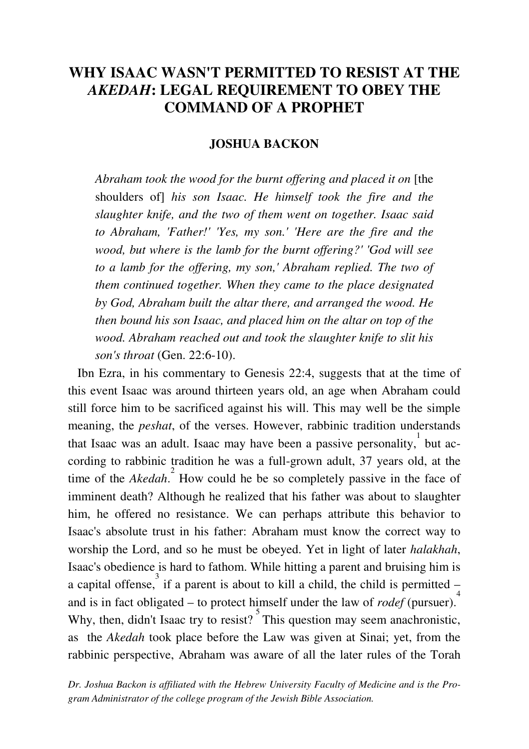## **WHY ISAAC WASN'T PERMITTED TO RESIST AT THE**  *AKEDAH***: LEGAL REQUIREMENT TO OBEY THE COMMAND OF A PROPHET**

## **JOSHUA BACKON**

Abraham took the wood for the burnt offering and placed it on [the shoulders of] *his son Isaac. He himself took the fire and the slaughter knife, and the two of them went on together. Isaac said to Abraham, 'Father!' 'Yes, my son.' 'Here are the fire and the wood, but where is the lamb for the burnt offering?' 'God will see to a lamb for the offering, my son,' Abraham replied. The two of them continued together. When they came to the place designated by God, Abraham built the altar there, and arranged the wood. He then bound his son Isaac, and placed him on the altar on top of the wood. Abraham reached out and took the slaughter knife to slit his son's throat* (Gen. 22:6-10).

 Ibn Ezra, in his commentary to Genesis 22:4, suggests that at the time of this event Isaac was around thirteen years old, an age when Abraham could still force him to be sacrificed against his will. This may well be the simple meaning, the *peshat*, of the verses. However, rabbinic tradition understands that Isaac was an adult. Isaac may have been a passive personality, but according to rabbinic tradition he was a full-grown adult, 37 years old, at the time of the *Akedah*.<sup>2</sup> How could he be so completely passive in the face of imminent death? Although he realized that his father was about to slaughter him, he offered no resistance. We can perhaps attribute this behavior to Isaac's absolute trust in his father: Abraham must know the correct way to worship the Lord, and so he must be obeyed. Yet in light of later *halakhah*, Isaac's obedience is hard to fathom. While hitting a parent and bruising him is a capital offense,  $\frac{3}{3}$  if a parent is about to kill a child, the child is permitted – and is in fact obligated – to protect himself under the law of *rodef* (pursuer).<sup>4</sup> Why, then, didn't Isaac try to resist? This question may seem anachronistic, as the *Akedah* took place before the Law was given at Sinai; yet, from the rabbinic perspective, Abraham was aware of all the later rules of the Torah

*Dr. Joshua Backon is affiliated with the Hebrew University Faculty of Medicine and is the Program Administrator of the college program of the Jewish Bible Association.*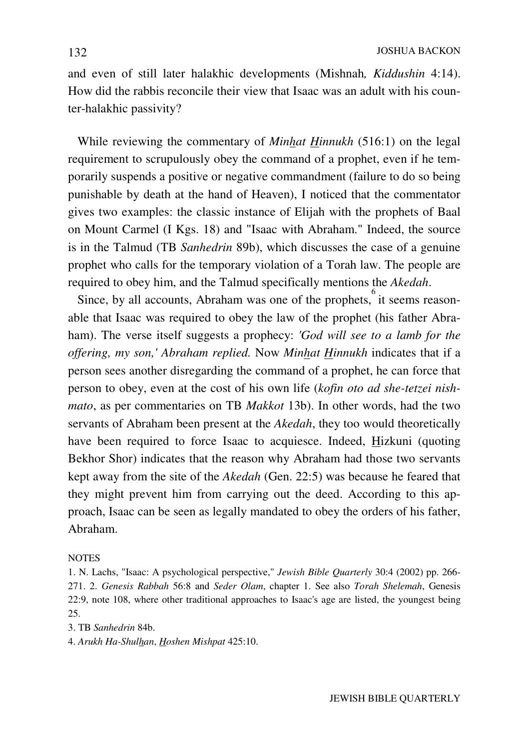and even of still later halakhic developments (Mishnah*, Kiddushin* 4:14). How did the rabbis reconcile their view that Isaac was an adult with his counter-halakhic passivity?

 While reviewing the commentary of *Minhat Hinnukh* (516:1) on the legal requirement to scrupulously obey the command of a prophet, even if he temporarily suspends a positive or negative commandment (failure to do so being punishable by death at the hand of Heaven), I noticed that the commentator gives two examples: the classic instance of Elijah with the prophets of Baal on Mount Carmel (I Kgs. 18) and "Isaac with Abraham." Indeed, the source is in the Talmud (TB *Sanhedrin* 89b), which discusses the case of a genuine prophet who calls for the temporary violation of a Torah law. The people are required to obey him, and the Talmud specifically mentions the *Akedah*.

 Since, by all accounts, Abraham was one of the prophets, 6 it seems reasonable that Isaac was required to obey the law of the prophet (his father Abraham). The verse itself suggests a prophecy: *'God will see to a lamb for the offering, my son,' Abraham replied.* Now *Minhat Hinnukh* indicates that if a person sees another disregarding the command of a prophet, he can force that person to obey, even at the cost of his own life (*kofin oto ad she-tetzei nishmato*, as per commentaries on TB *Makkot* 13b). In other words, had the two servants of Abraham been present at the *Akedah*, they too would theoretically have been required to force Isaac to acquiesce. Indeed, Hizkuni (quoting Bekhor Shor) indicates that the reason why Abraham had those two servants kept away from the site of the *Akedah* (Gen. 22:5) was because he feared that they might prevent him from carrying out the deed. According to this approach, Isaac can be seen as legally mandated to obey the orders of his father, Abraham.

## **NOTES**

1. N. Lachs, "Isaac: A psychological perspective," *Jewish Bible Quarterly* 30:4 (2002) pp. 266- 271. 2. *Genesis Rabbah* 56:8 and *Seder Olam*, chapter 1. See also *Torah Shelemah*, Genesis 22:9, note 108, where other traditional approaches to Isaac's age are listed, the youngest being 25.

3. TB *Sanhedrin* 84b.

4. *Arukh Ha-Shulhan*, *Hoshen Mishpat* 425:10.